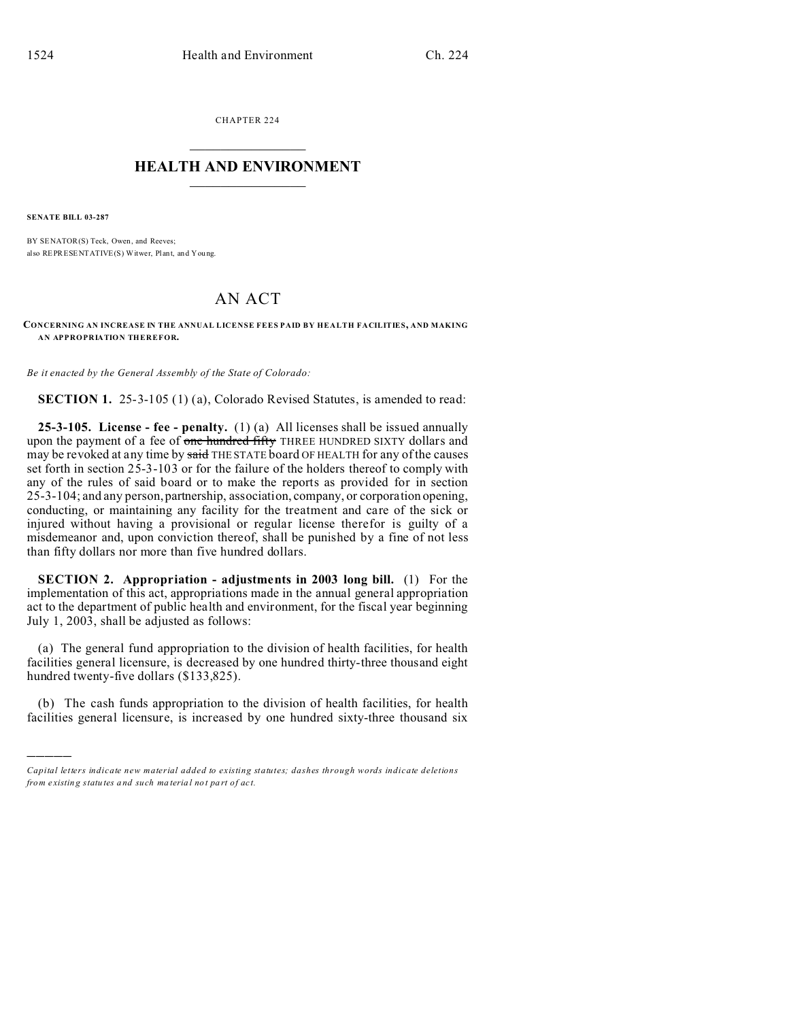CHAPTER 224  $\overline{\phantom{a}}$  , where  $\overline{\phantom{a}}$ 

## **HEALTH AND ENVIRONMENT**  $\_$   $\_$   $\_$   $\_$   $\_$   $\_$   $\_$   $\_$

**SENATE BILL 03-287**

)))))

BY SENATOR(S) Teck, Owen, and Reeves; also REPRESENTATIVE(S) Witwer, Plant, and You ng.

## AN ACT

## **CONCERNING AN INCREASE IN THE ANNUAL LICENSE FEES PAID BY HEALTH FACILITIES, AND MAKING AN APPROPRIATION THEREFOR.**

*Be it enacted by the General Assembly of the State of Colorado:*

**SECTION 1.** 25-3-105 (1) (a), Colorado Revised Statutes, is amended to read:

**25-3-105. License - fee - penalty.** (1) (a) All licenses shall be issued annually upon the payment of a fee of one hundred fifty THREE HUNDRED SIXTY dollars and may be revoked at any time by said THE STATE board OF HEALTH for any of the causes set forth in section 25-3-103 or for the failure of the holders thereof to comply with any of the rules of said board or to make the reports as provided for in section 25-3-104; and any person, partnership, association, company, or corporation opening, conducting, or maintaining any facility for the treatment and care of the sick or injured without having a provisional or regular license therefor is guilty of a misdemeanor and, upon conviction thereof, shall be punished by a fine of not less than fifty dollars nor more than five hundred dollars.

**SECTION 2. Appropriation - adjustments in 2003 long bill.** (1) For the implementation of this act, appropriations made in the annual general appropriation act to the department of public health and environment, for the fiscal year beginning July 1, 2003, shall be adjusted as follows:

(a) The general fund appropriation to the division of health facilities, for health facilities general licensure, is decreased by one hundred thirty-three thousand eight hundred twenty-five dollars (\$133,825).

(b) The cash funds appropriation to the division of health facilities, for health facilities general licensure, is increased by one hundred sixty-three thousand six

*Capital letters indicate new material added to existing statutes; dashes through words indicate deletions from e xistin g statu tes a nd such ma teria l no t pa rt of ac t.*